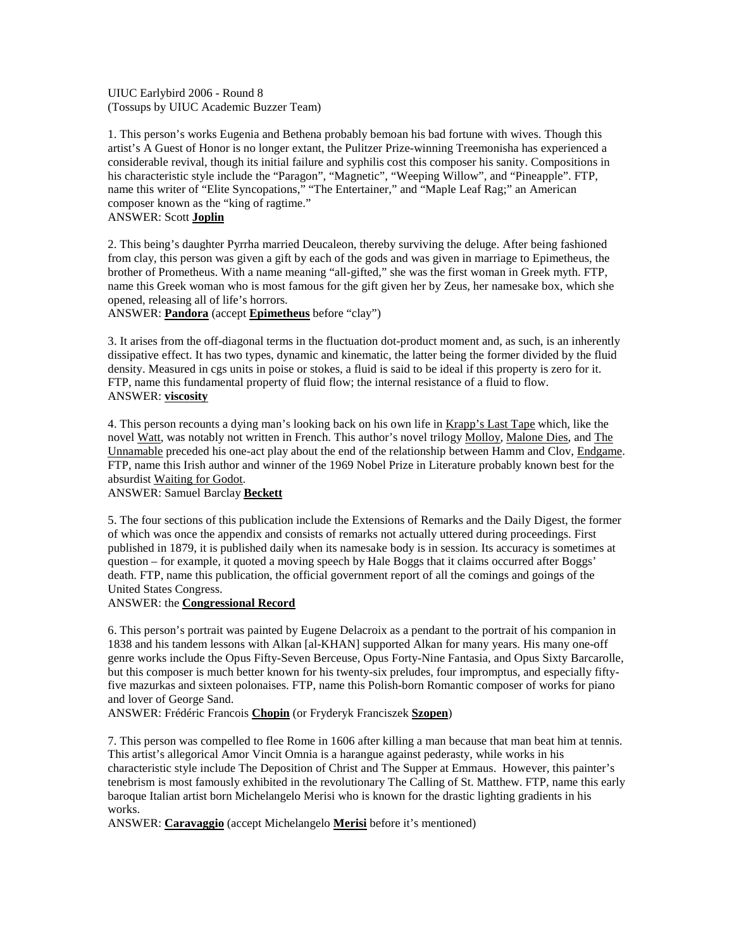UIUC Earlybird 2006 - Round 8 (Tossups by UIUC Academic Buzzer Team)

1. This person's works Eugenia and Bethena probably bemoan his bad fortune with wives. Though this artist's A Guest of Honor is no longer extant, the Pulitzer Prize-winning Treemonisha has experienced a considerable revival, though its initial failure and syphilis cost this composer his sanity. Compositions in his characteristic style include the "Paragon", "Magnetic", "Weeping Willow", and "Pineapple". FTP, name this writer of "Elite Syncopations," "The Entertainer," and "Maple Leaf Rag;" an American composer known as the "king of ragtime." ANSWER: Scott **Joplin**

2. This being's daughter Pyrrha married Deucaleon, thereby surviving the deluge. After being fashioned from clay, this person was given a gift by each of the gods and was given in marriage to Epimetheus, the brother of Prometheus. With a name meaning "all-gifted," she was the first woman in Greek myth. FTP, name this Greek woman who is most famous for the gift given her by Zeus, her namesake box, which she opened, releasing all of life's horrors.

ANSWER: **Pandora** (accept **Epimetheus** before "clay")

3. It arises from the off-diagonal terms in the fluctuation dot-product moment and, as such, is an inherently dissipative effect. It has two types, dynamic and kinematic, the latter being the former divided by the fluid density. Measured in cgs units in poise or stokes, a fluid is said to be ideal if this property is zero for it. FTP, name this fundamental property of fluid flow; the internal resistance of a fluid to flow. ANSWER: **viscosity**

4. This person recounts a dying man's looking back on his own life in Krapp's Last Tape which, like the novel Watt, was notably not written in French. This author's novel trilogy Molloy, Malone Dies, and The Unnamable preceded his one-act play about the end of the relationship between Hamm and Clov, Endgame. FTP, name this Irish author and winner of the 1969 Nobel Prize in Literature probably known best for the absurdist Waiting for Godot.

### ANSWER: Samuel Barclay **Beckett**

5. The four sections of this publication include the Extensions of Remarks and the Daily Digest, the former of which was once the appendix and consists of remarks not actually uttered during proceedings. First published in 1879, it is published daily when its namesake body is in session. Its accuracy is sometimes at question – for example, it quoted a moving speech by Hale Boggs that it claims occurred after Boggs' death. FTP, name this publication, the official government report of all the comings and goings of the United States Congress.

#### ANSWER: the **Congressional Record**

6. This person's portrait was painted by Eugene Delacroix as a pendant to the portrait of his companion in 1838 and his tandem lessons with Alkan [al-KHAN] supported Alkan for many years. His many one-off genre works include the Opus Fifty-Seven Berceuse, Opus Forty-Nine Fantasia, and Opus Sixty Barcarolle, but this composer is much better known for his twenty-six preludes, four impromptus, and especially fiftyfive mazurkas and sixteen polonaises. FTP, name this Polish-born Romantic composer of works for piano and lover of George Sand.

ANSWER: Frédéric Francois **Chopin** (or Fryderyk Franciszek **Szopen**)

7. This person was compelled to flee Rome in 1606 after killing a man because that man beat him at tennis. This artist's allegorical Amor Vincit Omnia is a harangue against pederasty, while works in his characteristic style include The Deposition of Christ and The Supper at Emmaus. However, this painter's tenebrism is most famously exhibited in the revolutionary The Calling of St. Matthew. FTP, name this early baroque Italian artist born Michelangelo Merisi who is known for the drastic lighting gradients in his works.

ANSWER: **Caravaggio** (accept Michelangelo **Merisi** before it's mentioned)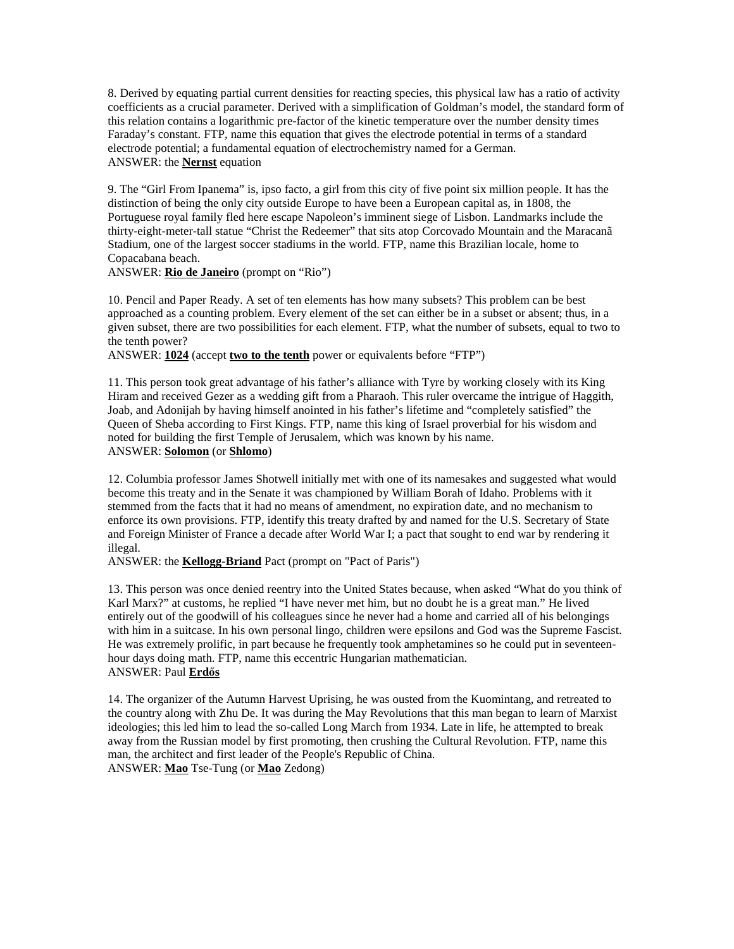8. Derived by equating partial current densities for reacting species, this physical law has a ratio of activity coefficients as a crucial parameter. Derived with a simplification of Goldman's model, the standard form of this relation contains a logarithmic pre-factor of the kinetic temperature over the number density times Faraday's constant. FTP, name this equation that gives the electrode potential in terms of a standard electrode potential; a fundamental equation of electrochemistry named for a German. ANSWER: the **Nernst** equation

9. The "Girl From Ipanema" is, ipso facto, a girl from this city of five point six million people. It has the distinction of being the only city outside Europe to have been a European capital as, in 1808, the Portuguese royal family fled here escape Napoleon's imminent siege of Lisbon. Landmarks include the thirty-eight-meter-tall statue "Christ the Redeemer" that sits atop Corcovado Mountain and the Maracanã Stadium, one of the largest soccer stadiums in the world. FTP, name this Brazilian locale, home to Copacabana beach.

ANSWER: **Rio de Janeiro** (prompt on "Rio")

10. Pencil and Paper Ready. A set of ten elements has how many subsets? This problem can be best approached as a counting problem. Every element of the set can either be in a subset or absent; thus, in a given subset, there are two possibilities for each element. FTP, what the number of subsets, equal to two to the tenth power?

ANSWER: **1024** (accept **two to the tenth** power or equivalents before "FTP")

11. This person took great advantage of his father's alliance with Tyre by working closely with its King Hiram and received Gezer as a wedding gift from a Pharaoh. This ruler overcame the intrigue of Haggith, Joab, and Adonijah by having himself anointed in his father's lifetime and "completely satisfied" the Queen of Sheba according to First Kings. FTP, name this king of Israel proverbial for his wisdom and noted for building the first Temple of Jerusalem, which was known by his name. ANSWER: **Solomon** (or **Shlomo**)

12. Columbia professor James Shotwell initially met with one of its namesakes and suggested what would become this treaty and in the Senate it was championed by William Borah of Idaho. Problems with it stemmed from the facts that it had no means of amendment, no expiration date, and no mechanism to enforce its own provisions. FTP, identify this treaty drafted by and named for the U.S. Secretary of State and Foreign Minister of France a decade after World War I; a pact that sought to end war by rendering it illegal.

ANSWER: the **Kellogg-Briand** Pact (prompt on "Pact of Paris")

13. This person was once denied reentry into the United States because, when asked "What do you think of Karl Marx?" at customs, he replied "I have never met him, but no doubt he is a great man." He lived entirely out of the goodwill of his colleagues since he never had a home and carried all of his belongings with him in a suitcase. In his own personal lingo, children were epsilons and God was the Supreme Fascist. He was extremely prolific, in part because he frequently took amphetamines so he could put in seventeenhour days doing math. FTP, name this eccentric Hungarian mathematician. **ANSWER: Paul Erdős** 

14. The organizer of the Autumn Harvest Uprising, he was ousted from the Kuomintang, and retreated to the country along with Zhu De. It was during the May Revolutions that this man began to learn of Marxist ideologies; this led him to lead the so-called Long March from 1934. Late in life, he attempted to break away from the Russian model by first promoting, then crushing the Cultural Revolution. FTP, name this man, the architect and first leader of the People's Republic of China. ANSWER: **Mao** Tse-Tung (or **Mao** Zedong)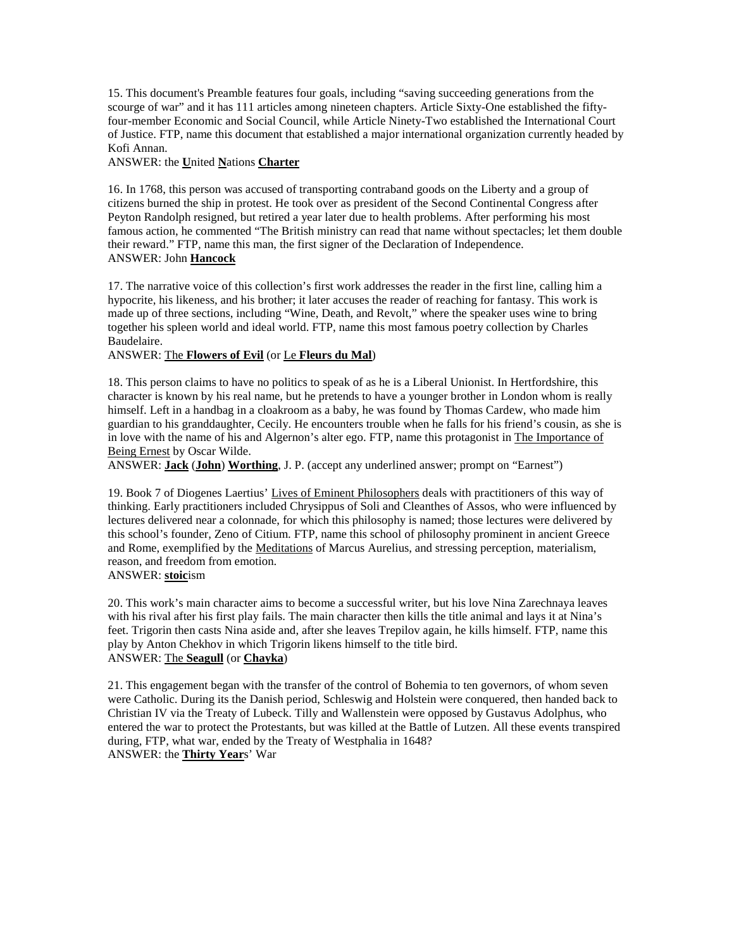15. This document's Preamble features four goals, including "saving succeeding generations from the scourge of war" and it has 111 articles among nineteen chapters. Article Sixty-One established the fiftyfour-member Economic and Social Council, while Article Ninety-Two established the International Court of Justice. FTP, name this document that established a major international organization currently headed by Kofi Annan.

### ANSWER: the **U**nited **N**ations **Charter**

16. In 1768, this person was accused of transporting contraband goods on the Liberty and a group of citizens burned the ship in protest. He took over as president of the Second Continental Congress after Peyton Randolph resigned, but retired a year later due to health problems. After performing his most famous action, he commented "The British ministry can read that name without spectacles; let them double their reward." FTP, name this man, the first signer of the Declaration of Independence. ANSWER: John **Hancock**

17. The narrative voice of this collection's first work addresses the reader in the first line, calling him a hypocrite, his likeness, and his brother; it later accuses the reader of reaching for fantasy. This work is made up of three sections, including "Wine, Death, and Revolt," where the speaker uses wine to bring together his spleen world and ideal world. FTP, name this most famous poetry collection by Charles Baudelaire.

### ANSWER: The **Flowers of Evil** (or Le **Fleurs du Mal**)

18. This person claims to have no politics to speak of as he is a Liberal Unionist. In Hertfordshire, this character is known by his real name, but he pretends to have a younger brother in London whom is really himself. Left in a handbag in a cloakroom as a baby, he was found by Thomas Cardew, who made him guardian to his granddaughter, Cecily. He encounters trouble when he falls for his friend's cousin, as she is in love with the name of his and Algernon's alter ego. FTP, name this protagonist in The Importance of Being Ernest by Oscar Wilde.

ANSWER: **Jack** (**John**) **Worthing**, J. P. (accept any underlined answer; prompt on "Earnest")

19. Book 7 of Diogenes Laertius' Lives of Eminent Philosophers deals with practitioners of this way of thinking. Early practitioners included Chrysippus of Soli and Cleanthes of Assos, who were influenced by lectures delivered near a colonnade, for which this philosophy is named; those lectures were delivered by this school's founder, Zeno of Citium. FTP, name this school of philosophy prominent in ancient Greece and Rome, exemplified by the Meditations of Marcus Aurelius, and stressing perception, materialism, reason, and freedom from emotion.

ANSWER: **stoic**ism

20. This work's main character aims to become a successful writer, but his love Nina Zarechnaya leaves with his rival after his first play fails. The main character then kills the title animal and lays it at Nina's feet. Trigorin then casts Nina aside and, after she leaves Trepilov again, he kills himself. FTP, name this play by Anton Chekhov in which Trigorin likens himself to the title bird. ANSWER: The **Seagull** (or **Chayka**)

21. This engagement began with the transfer of the control of Bohemia to ten governors, of whom seven were Catholic. During its the Danish period, Schleswig and Holstein were conquered, then handed back to Christian IV via the Treaty of Lubeck. Tilly and Wallenstein were opposed by Gustavus Adolphus, who entered the war to protect the Protestants, but was killed at the Battle of Lutzen. All these events transpired during, FTP, what war, ended by the Treaty of Westphalia in 1648? ANSWER: the **Thirty Year**s' War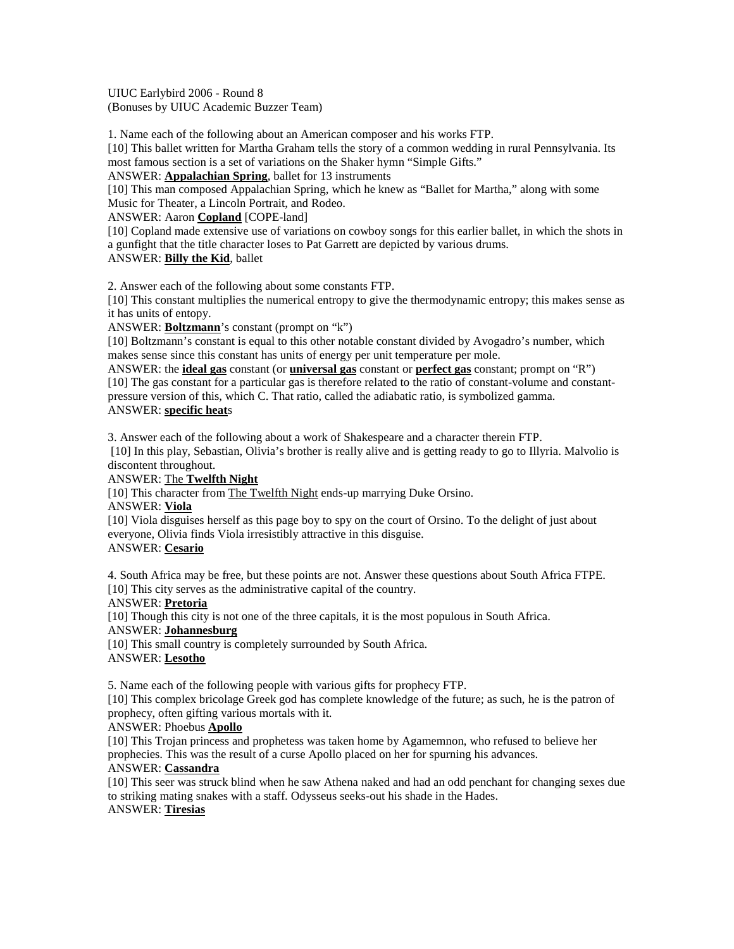UIUC Earlybird 2006 - Round 8 (Bonuses by UIUC Academic Buzzer Team)

1. Name each of the following about an American composer and his works FTP.

[10] This ballet written for Martha Graham tells the story of a common wedding in rural Pennsylvania. Its most famous section is a set of variations on the Shaker hymn "Simple Gifts."

ANSWER: **Appalachian Spring**, ballet for 13 instruments

[10] This man composed Appalachian Spring, which he knew as "Ballet for Martha," along with some Music for Theater, a Lincoln Portrait, and Rodeo.

ANSWER: Aaron **Copland** [COPE-land]

[10] Copland made extensive use of variations on cowboy songs for this earlier ballet, in which the shots in a gunfight that the title character loses to Pat Garrett are depicted by various drums. ANSWER: **Billy the Kid**, ballet

2. Answer each of the following about some constants FTP.

[10] This constant multiplies the numerical entropy to give the thermodynamic entropy; this makes sense as it has units of entopy.

ANSWER: **Boltzmann**'s constant (prompt on "k")

[10] Boltzmann's constant is equal to this other notable constant divided by Avogadro's number, which makes sense since this constant has units of energy per unit temperature per mole.

ANSWER: the **ideal gas** constant (or **universal gas** constant or **perfect gas** constant; prompt on "R") [10] The gas constant for a particular gas is therefore related to the ratio of constant-volume and constantpressure version of this, which C. That ratio, called the adiabatic ratio, is symbolized gamma. ANSWER: **specific heat**s

3. Answer each of the following about a work of Shakespeare and a character therein FTP.

 [10] In this play, Sebastian, Olivia's brother is really alive and is getting ready to go to Illyria. Malvolio is discontent throughout.

ANSWER: The **Twelfth Night**

[10] This character from The Twelfth Night ends-up marrying Duke Orsino.

ANSWER: **Viola**

[10] Viola disguises herself as this page boy to spy on the court of Orsino. To the delight of just about everyone, Olivia finds Viola irresistibly attractive in this disguise.

# ANSWER: **Cesario**

4. South Africa may be free, but these points are not. Answer these questions about South Africa FTPE. [10] This city serves as the administrative capital of the country.

ANSWER: **Pretoria**

[10] Though this city is not one of the three capitals, it is the most populous in South Africa.

ANSWER: **Johannesburg**

[10] This small country is completely surrounded by South Africa. ANSWER: **Lesotho**

5. Name each of the following people with various gifts for prophecy FTP.

[10] This complex bricolage Greek god has complete knowledge of the future; as such, he is the patron of prophecy, often gifting various mortals with it.

### ANSWER: Phoebus **Apollo**

[10] This Trojan princess and prophetess was taken home by Agamemnon, who refused to believe her prophecies. This was the result of a curse Apollo placed on her for spurning his advances.

### ANSWER: **Cassandra**

[10] This seer was struck blind when he saw Athena naked and had an odd penchant for changing sexes due to striking mating snakes with a staff. Odysseus seeks-out his shade in the Hades. ANSWER: **Tiresias**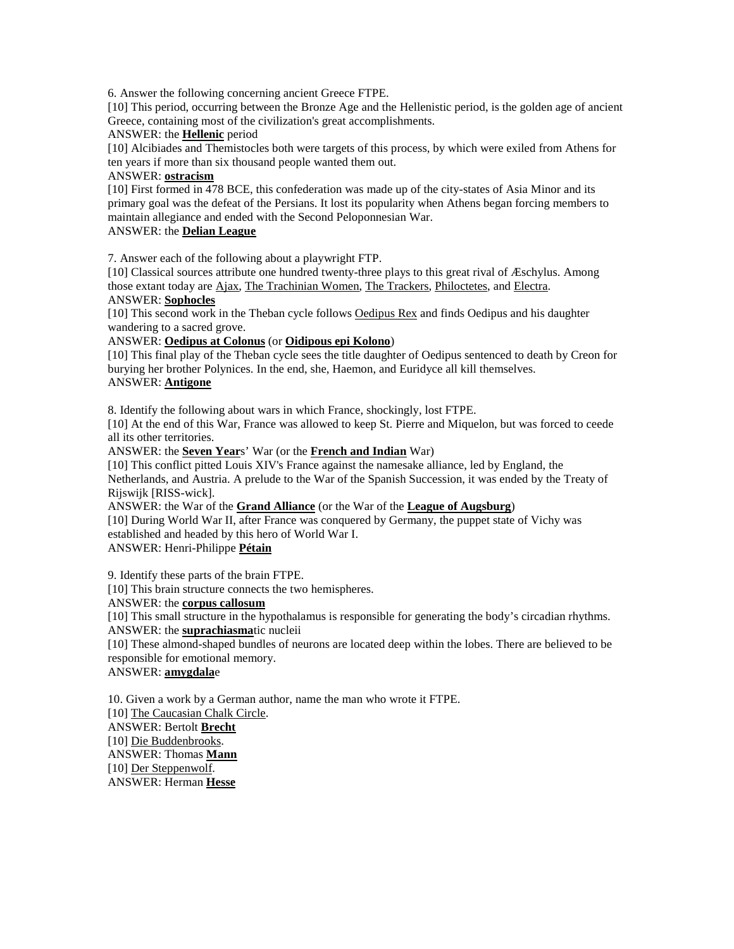6. Answer the following concerning ancient Greece FTPE.

[10] This period, occurring between the Bronze Age and the Hellenistic period, is the golden age of ancient Greece, containing most of the civilization's great accomplishments.

### ANSWER: the **Hellenic** period

[10] Alcibiades and Themistocles both were targets of this process, by which were exiled from Athens for ten years if more than six thousand people wanted them out.

#### ANSWER: **ostracism**

[10] First formed in 478 BCE, this confederation was made up of the city-states of Asia Minor and its primary goal was the defeat of the Persians. It lost its popularity when Athens began forcing members to maintain allegiance and ended with the Second Peloponnesian War.

# ANSWER: the **Delian League**

7. Answer each of the following about a playwright FTP.

[10] Classical sources attribute one hundred twenty-three plays to this great rival of Æschylus. Among those extant today are Ajax, The Trachinian Women, The Trackers, Philoctetes, and Electra. ANSWER: **Sophocles**

[10] This second work in the Theban cycle follows Oedipus Rex and finds Oedipus and his daughter wandering to a sacred grove.

### ANSWER: **Oedipus at Colonus** (or **Oidipous epi Kolono**)

[10] This final play of the Theban cycle sees the title daughter of Oedipus sentenced to death by Creon for burying her brother Polynices. In the end, she, Haemon, and Euridyce all kill themselves. ANSWER: **Antigone**

8. Identify the following about wars in which France, shockingly, lost FTPE.

[10] At the end of this War, France was allowed to keep St. Pierre and Miquelon, but was forced to ceede all its other territories.

ANSWER: the **Seven Year**s' War (or the **French and Indian** War)

[10] This conflict pitted Louis XIV's France against the namesake alliance, led by England, the Netherlands, and Austria. A prelude to the War of the Spanish Succession, it was ended by the Treaty of Rijswijk [RISS-wick].

ANSWER: the War of the **Grand Alliance** (or the War of the **League of Augsburg**)

[10] During World War II, after France was conquered by Germany, the puppet state of Vichy was established and headed by this hero of World War I.

ANSWER: Henri-Philippe **Pétain**

9. Identify these parts of the brain FTPE.

[10] This brain structure connects the two hemispheres.

# ANSWER: the **corpus callosum**

[10] This small structure in the hypothalamus is responsible for generating the body's circadian rhythms. ANSWER: the **suprachiasma**tic nucleii

[10] These almond-shaped bundles of neurons are located deep within the lobes. There are believed to be responsible for emotional memory.

# ANSWER: **amygdala**e

10. Given a work by a German author, name the man who wrote it FTPE. [10] The Caucasian Chalk Circle. ANSWER: Bertolt **Brecht** [10] Die Buddenbrooks. ANSWER: Thomas **Mann** [10] Der Steppenwolf.

ANSWER: Herman **Hesse**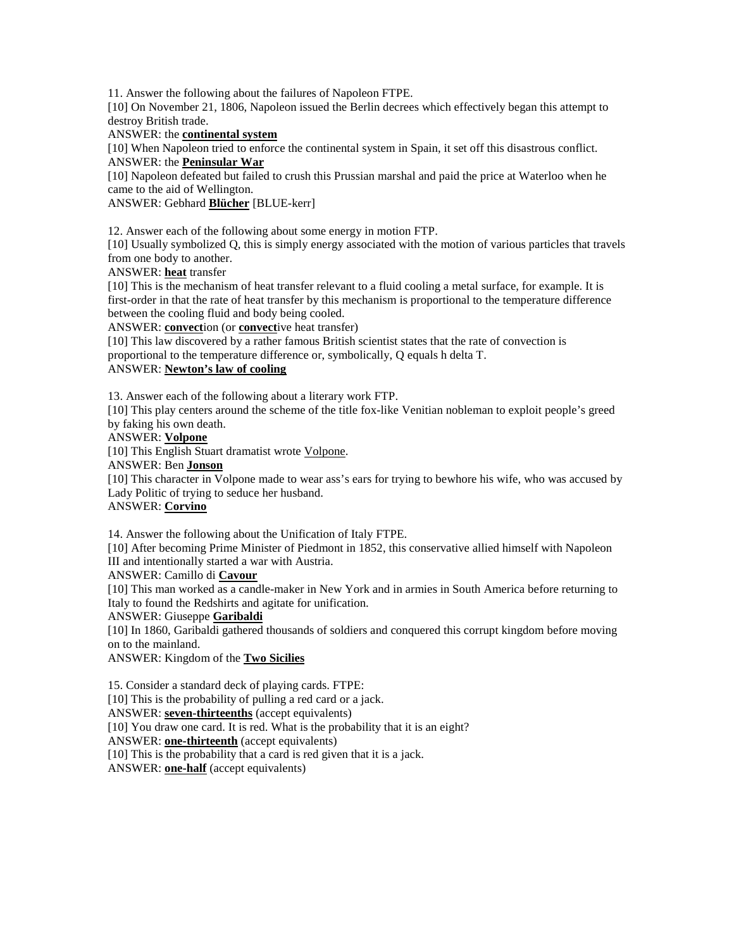11. Answer the following about the failures of Napoleon FTPE.

[10] On November 21, 1806, Napoleon issued the Berlin decrees which effectively began this attempt to destroy British trade.

### ANSWER: the **continental system**

[10] When Napoleon tried to enforce the continental system in Spain, it set off this disastrous conflict. ANSWER: the **Peninsular War**

[10] Napoleon defeated but failed to crush this Prussian marshal and paid the price at Waterloo when he came to the aid of Wellington.

ANSWER: Gebhard **Blücher** [BLUE-kerr]

12. Answer each of the following about some energy in motion FTP.

[10] Usually symbolized Q, this is simply energy associated with the motion of various particles that travels from one body to another.

ANSWER: **heat** transfer

[10] This is the mechanism of heat transfer relevant to a fluid cooling a metal surface, for example. It is first-order in that the rate of heat transfer by this mechanism is proportional to the temperature difference between the cooling fluid and body being cooled.

ANSWER: **convect**ion (or **convect**ive heat transfer)

[10] This law discovered by a rather famous British scientist states that the rate of convection is proportional to the temperature difference or, symbolically, Q equals h delta T.

# ANSWER: **Newton's law of cooling**

13. Answer each of the following about a literary work FTP.

[10] This play centers around the scheme of the title fox-like Venitian nobleman to exploit people's greed by faking his own death.

ANSWER: **Volpone**

[10] This English Stuart dramatist wrote Volpone.

### ANSWER: Ben **Jonson**

[10] This character in Volpone made to wear ass's ears for trying to bewhore his wife, who was accused by Lady Politic of trying to seduce her husband.

### ANSWER: **Corvino**

14. Answer the following about the Unification of Italy FTPE.

[10] After becoming Prime Minister of Piedmont in 1852, this conservative allied himself with Napoleon III and intentionally started a war with Austria.

ANSWER: Camillo di **Cavour**

[10] This man worked as a candle-maker in New York and in armies in South America before returning to Italy to found the Redshirts and agitate for unification.

ANSWER: Giuseppe **Garibaldi**

[10] In 1860, Garibaldi gathered thousands of soldiers and conquered this corrupt kingdom before moving on to the mainland.

ANSWER: Kingdom of the **Two Sicilies**

15. Consider a standard deck of playing cards. FTPE:

[10] This is the probability of pulling a red card or a jack.

ANSWER: **seven-thirteenths** (accept equivalents)

[10] You draw one card. It is red. What is the probability that it is an eight?

ANSWER: **one-thirteenth** (accept equivalents)

[10] This is the probability that a card is red given that it is a jack.

ANSWER: **one-half** (accept equivalents)